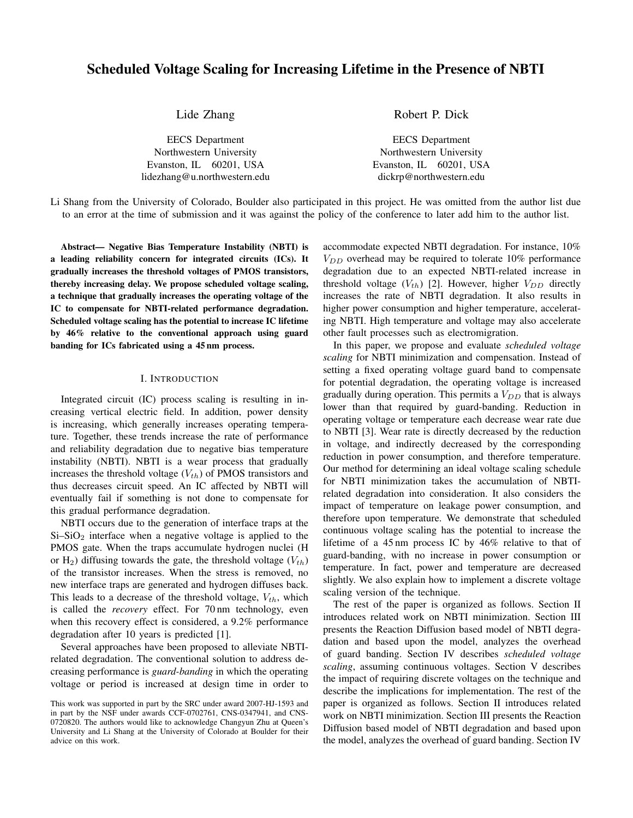# Scheduled Voltage Scaling for Increasing Lifetime in the Presence of NBTI

| Lide Zhang                                         | Robert P. Dick          |  |  |  |
|----------------------------------------------------|-------------------------|--|--|--|
| <b>EECS</b> Department                             | <b>EECS</b> Department  |  |  |  |
| Northwestern University<br>Northwestern University |                         |  |  |  |
| Evanston, IL 60201, USA                            | Evanston, IL 60201, USA |  |  |  |
| lidezhang@u.northwestern.edu                       | dickrp@northwestern.edu |  |  |  |

Li Shang from the University of Colorado, Boulder also participated in this project. He was omitted from the author list due to an error at the time of submission and it was against the policy of the conference to later add him to the author list.

Abstract— Negative Bias Temperature Instability (NBTI) is a leading reliability concern for integrated circuits (ICs). It gradually increases the threshold voltages of PMOS transistors, thereby increasing delay. We propose scheduled voltage scaling, a technique that gradually increases the operating voltage of the IC to compensate for NBTI-related performance degradation. Scheduled voltage scaling has the potential to increase IC lifetime by 46% relative to the conventional approach using guard banding for ICs fabricated using a 45 nm process.

#### I. INTRODUCTION

Integrated circuit (IC) process scaling is resulting in increasing vertical electric field. In addition, power density is increasing, which generally increases operating temperature. Together, these trends increase the rate of performance and reliability degradation due to negative bias temperature instability (NBTI). NBTI is a wear process that gradually increases the threshold voltage  $(V_{th})$  of PMOS transistors and thus decreases circuit speed. An IC affected by NBTI will eventually fail if something is not done to compensate for this gradual performance degradation.

NBTI occurs due to the generation of interface traps at the  $Si-SiO<sub>2</sub>$  interface when a negative voltage is applied to the PMOS gate. When the traps accumulate hydrogen nuclei (H or  $H_2$ ) diffusing towards the gate, the threshold voltage  $(V_{th})$ of the transistor increases. When the stress is removed, no new interface traps are generated and hydrogen diffuses back. This leads to a decrease of the threshold voltage,  $V_{th}$ , which is called the *recovery* effect. For 70 nm technology, even when this recovery effect is considered, a 9.2% performance degradation after 10 years is predicted [1].

Several approaches have been proposed to alleviate NBTIrelated degradation. The conventional solution to address decreasing performance is *guard-banding* in which the operating voltage or period is increased at design time in order to accommodate expected NBTI degradation. For instance, 10%  $V_{DD}$  overhead may be required to tolerate 10% performance degradation due to an expected NBTI-related increase in threshold voltage  $(V_{th})$  [2]. However, higher  $V_{DD}$  directly increases the rate of NBTI degradation. It also results in higher power consumption and higher temperature, accelerating NBTI. High temperature and voltage may also accelerate other fault processes such as electromigration.

In this paper, we propose and evaluate *scheduled voltage scaling* for NBTI minimization and compensation. Instead of setting a fixed operating voltage guard band to compensate for potential degradation, the operating voltage is increased gradually during operation. This permits a  $V_{DD}$  that is always lower than that required by guard-banding. Reduction in operating voltage or temperature each decrease wear rate due to NBTI [3]. Wear rate is directly decreased by the reduction in voltage, and indirectly decreased by the corresponding reduction in power consumption, and therefore temperature. Our method for determining an ideal voltage scaling schedule for NBTI minimization takes the accumulation of NBTIrelated degradation into consideration. It also considers the impact of temperature on leakage power consumption, and therefore upon temperature. We demonstrate that scheduled continuous voltage scaling has the potential to increase the lifetime of a 45 nm process IC by 46% relative to that of guard-banding, with no increase in power consumption or temperature. In fact, power and temperature are decreased slightly. We also explain how to implement a discrete voltage scaling version of the technique.

The rest of the paper is organized as follows. Section II introduces related work on NBTI minimization. Section III presents the Reaction Diffusion based model of NBTI degradation and based upon the model, analyzes the overhead of guard banding. Section IV describes *scheduled voltage scaling*, assuming continuous voltages. Section V describes the impact of requiring discrete voltages on the technique and describe the implications for implementation. The rest of the paper is organized as follows. Section II introduces related work on NBTI minimization. Section III presents the Reaction Diffusion based model of NBTI degradation and based upon the model, analyzes the overhead of guard banding. Section IV

This work was supported in part by the SRC under award 2007-HJ-1593 and in part by the NSF under awards CCF-0702761, CNS-0347941, and CNS-0720820. The authors would like to acknowledge Changyun Zhu at Queen's University and Li Shang at the University of Colorado at Boulder for their advice on this work.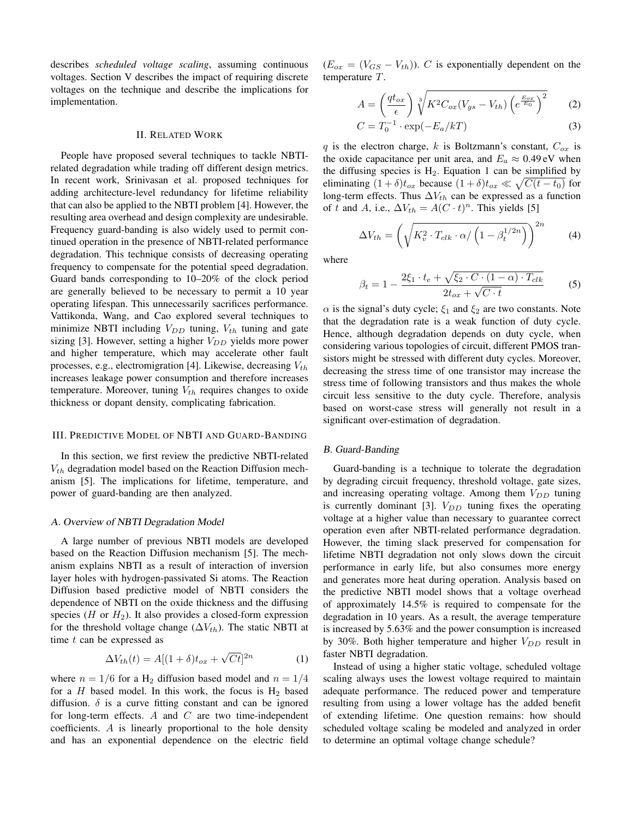describes *scheduled voltage scaling*, assuming continuous voltages. Section V describes the impact of requiring discrete voltages on the technique and describe the implications for implementation.

## II. RELATED WORK

People have proposed several techniques to tackle NBTIrelated degradation while trading off different design metrics. In recent work, Srinivasan et al. proposed techniques for adding architecture-level redundancy for lifetime reliability that can also be applied to the NBTI problem [4]. However, the resulting area overhead and design complexity are undesirable. Frequency guard-banding is also widely used to permit continued operation in the presence of NBTI-related performance degradation. This technique consists of decreasing operating frequency to compensate for the potential speed degradation. Guard bands corresponding to 10–20% of the clock period are generally believed to be necessary to permit a 10 year operating lifespan. This unnecessarily sacrifices performance. Vattikonda, Wang, and Cao explored several techniques to minimize NBTI including  $V_{DD}$  tuning,  $V_{th}$  tuning and gate sizing [3]. However, setting a higher  $V_{DD}$  yields more power and higher temperature, which may accelerate other fault processes, e.g., electromigration [4]. Likewise, decreasing  $V_{th}$ increases leakage power consumption and therefore increases temperature. Moreover, tuning  $V_{th}$  requires changes to oxide thickness or dopant density, complicating fabrication.

# III. PREDICTIVE MODEL OF NBTI AND GUARD-BANDING

In this section, we first review the predictive NBTI-related  $V_{th}$  degradation model based on the Reaction Diffusion mechanism [5]. The implications for lifetime, temperature, and power of guard-banding are then analyzed.

## A. Overview of NBTI Degradation Model

A large number of previous NBTI models are developed based on the Reaction Diffusion mechanism [5]. The mechanism explains NBTI as a result of interaction of inversion layer holes with hydrogen-passivated Si atoms. The Reaction Diffusion based predictive model of NBTI considers the dependence of NBTI on the oxide thickness and the diffusing species ( $H$  or  $H_2$ ). It also provides a closed-form expression for the threshold voltage change ( $\Delta V_{th}$ ). The static NBTI at time  $t$  can be expressed as

$$
\Delta V_{th}(t) = A[(1+\delta)t_{ox} + \sqrt{Ct}]^{2n}
$$
 (1)

where  $n = 1/6$  for a H<sub>2</sub> diffusion based model and  $n = 1/4$ for a H based model. In this work, the focus is  $H_2$  based diffusion.  $\delta$  is a curve fitting constant and can be ignored for long-term effects.  $A$  and  $C$  are two time-independent coefficients. A is linearly proportional to the hole density and has an exponential dependence on the electric field

 $(E_{ox} = (V_{GS} - V_{th}))$ . C is exponentially dependent on the temperature T.

$$
A = \left(\frac{qt_{ox}}{\epsilon}\right) \sqrt[3]{K^2 C_{ox}(V_{gs} - V_{th}) \left(e^{\frac{E_{ox}}{E_0}}\right)^2}
$$
 (2)

$$
C = T_0^{-1} \cdot \exp(-E_a/kT) \tag{3}
$$

q is the electron charge, k is Boltzmann's constant,  $C_{ox}$  is the oxide capacitance per unit area, and  $E_a \approx 0.49 \text{ eV}$  when the diffusing species is  $H_2$ . Equation 1 can be simplified by eliminating  $(1+\delta)t_{ox}$  because  $(1+\delta)t_{ox} \ll \sqrt{C(t-t_0)}$  for long-term effects. Thus  $\Delta V_{th}$  can be expressed as a function of t and A, i.e.,  $\Delta V_{th} = A(C \cdot t)^n$ . This yields [5]

$$
\Delta V_{th} = \left(\sqrt{K_v^2 \cdot T_{clk} \cdot \alpha / \left(1 - \beta_t^{1/2n}\right)}\right)^{2n} \tag{4}
$$

where

$$
\beta_t = 1 - \frac{2\xi_1 \cdot t_e + \sqrt{\xi_2 \cdot C \cdot (1 - \alpha) \cdot T_{clk}}}{2t_{ox} + \sqrt{C \cdot t}}
$$
(5)

 $\alpha$  is the signal's duty cycle;  $\xi_1$  and  $\xi_2$  are two constants. Note that the degradation rate is a weak function of duty cycle. Hence, although degradation depends on duty cycle, when considering various topologies of circuit, different PMOS transistors might be stressed with different duty cycles. Moreover, decreasing the stress time of one transistor may increase the stress time of following transistors and thus makes the whole circuit less sensitive to the duty cycle. Therefore, analysis based on worst-case stress will generally not result in a significant over-estimation of degradation.

# B. Guard-Banding

Guard-banding is a technique to tolerate the degradation by degrading circuit frequency, threshold voltage, gate sizes, and increasing operating voltage. Among them  $V_{DD}$  tuning is currently dominant [3].  $V_{DD}$  tuning fixes the operating voltage at a higher value than necessary to guarantee correct operation even after NBTI-related performance degradation. However, the timing slack preserved for compensation for lifetime NBTI degradation not only slows down the circuit performance in early life, but also consumes more energy and generates more heat during operation. Analysis based on the predictive NBTI model shows that a voltage overhead of approximately 14.5% is required to compensate for the degradation in 10 years. As a result, the average temperature is increased by 5.63% and the power consumption is increased by 30%. Both higher temperature and higher  $V_{DD}$  result in faster NBTI degradation.

Instead of using a higher static voltage, scheduled voltage scaling always uses the lowest voltage required to maintain adequate performance. The reduced power and temperature resulting from using a lower voltage has the added benefit of extending lifetime. One question remains: how should scheduled voltage scaling be modeled and analyzed in order to determine an optimal voltage change schedule?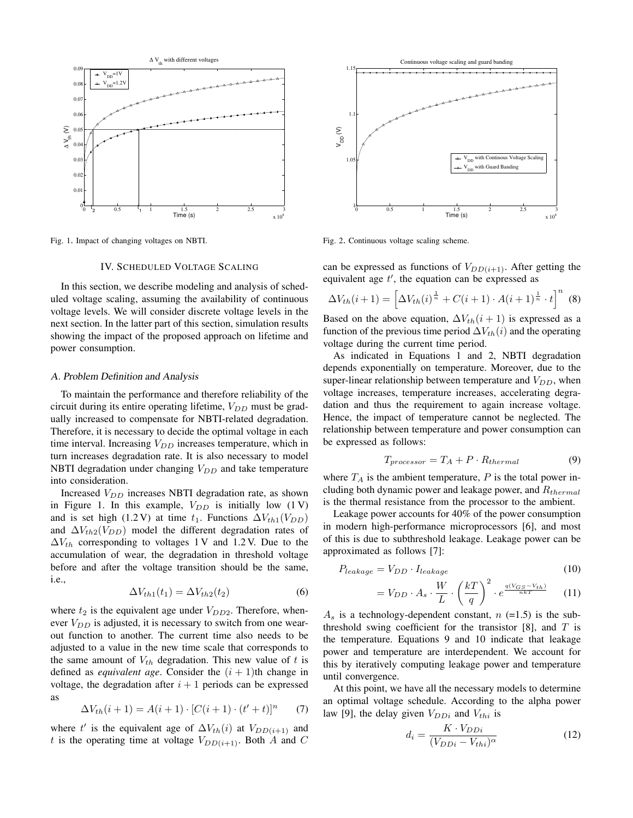

Fig. 1. Impact of changing voltages on NBTI.

## IV. SCHEDULED VOLTAGE SCALING

In this section, we describe modeling and analysis of scheduled voltage scaling, assuming the availability of continuous voltage levels. We will consider discrete voltage levels in the next section. In the latter part of this section, simulation results showing the impact of the proposed approach on lifetime and power consumption.

## A. Problem Definition and Analysis

To maintain the performance and therefore reliability of the circuit during its entire operating lifetime,  $V_{DD}$  must be gradually increased to compensate for NBTI-related degradation. Therefore, it is necessary to decide the optimal voltage in each time interval. Increasing  $V_{DD}$  increases temperature, which in turn increases degradation rate. It is also necessary to model NBTI degradation under changing  $V_{DD}$  and take temperature into consideration.

Increased  $V_{DD}$  increases NBTI degradation rate, as shown in Figure 1. In this example,  $V_{DD}$  is initially low (1 V) and is set high (1.2 V) at time  $t_1$ . Functions  $\Delta V_{th1}(V_{DD})$ and  $\Delta V_{th2}(V_{DD})$  model the different degradation rates of  $\Delta V_{th}$  corresponding to voltages 1 V and 1.2 V. Due to the accumulation of wear, the degradation in threshold voltage before and after the voltage transition should be the same, i.e.,

$$
\Delta V_{th1}(t_1) = \Delta V_{th2}(t_2)
$$
\n(6)

where  $t_2$  is the equivalent age under  $V_{DD2}$ . Therefore, whenever  $V_{DD}$  is adjusted, it is necessary to switch from one wearout function to another. The current time also needs to be adjusted to a value in the new time scale that corresponds to the same amount of  $V_{th}$  degradation. This new value of t is defined as *equivalent age*. Consider the  $(i + 1)$ th change in voltage, the degradation after  $i + 1$  periods can be expressed as

$$
\Delta V_{th}(i+1) = A(i+1) \cdot [C(i+1) \cdot (t'+t)]^n \tag{7}
$$

where t' is the equivalent age of  $\Delta V_{th}(i)$  at  $V_{DD(i+1)}$  and t is the operating time at voltage  $V_{DD(i+1)}$ . Both A and C



Fig. 2. Continuous voltage scaling scheme.

can be expressed as functions of  $V_{DD(i+1)}$ . After getting the equivalent age  $t'$ , the equation can be expressed as

$$
\Delta V_{th}(i+1) = \left[ \Delta V_{th}(i)^{\frac{1}{n}} + C(i+1) \cdot A(i+1)^{\frac{1}{n}} \cdot t \right]^n \tag{8}
$$

Based on the above equation,  $\Delta V_{th}(i + 1)$  is expressed as a function of the previous time period  $\Delta V_{th}(i)$  and the operating voltage during the current time period.

As indicated in Equations 1 and 2, NBTI degradation depends exponentially on temperature. Moreover, due to the super-linear relationship between temperature and  $V_{DD}$ , when voltage increases, temperature increases, accelerating degradation and thus the requirement to again increase voltage. Hence, the impact of temperature cannot be neglected. The relationship between temperature and power consumption can be expressed as follows:

$$
T_{processor} = T_A + P \cdot R_{thermal} \tag{9}
$$

where  $T_A$  is the ambient temperature,  $P$  is the total power including both dynamic power and leakage power, and  $R_{thermal}$ is the thermal resistance from the processor to the ambient.

Leakage power accounts for 40% of the power consumption in modern high-performance microprocessors [6], and most of this is due to subthreshold leakage. Leakage power can be approximated as follows [7]:

$$
P_{leakage} = V_{DD} \cdot I_{leakage} \tag{10}
$$

$$
= V_{DD} \cdot A_s \cdot \frac{W}{L} \cdot \left(\frac{kT}{q}\right)^2 \cdot e^{\frac{q(V_{GS} - V_{th})}{nkT}} \tag{11}
$$

 $A<sub>s</sub>$  is a technology-dependent constant,  $n$  (=1.5) is the subthreshold swing coefficient for the transistor  $[8]$ , and  $T$  is the temperature. Equations 9 and 10 indicate that leakage power and temperature are interdependent. We account for this by iteratively computing leakage power and temperature until convergence.

At this point, we have all the necessary models to determine an optimal voltage schedule. According to the alpha power law [9], the delay given  $V_{DDi}$  and  $V_{thi}$  is

$$
d_i = \frac{K \cdot V_{DDi}}{(V_{DDi} - V_{thi})^{\alpha}} \tag{12}
$$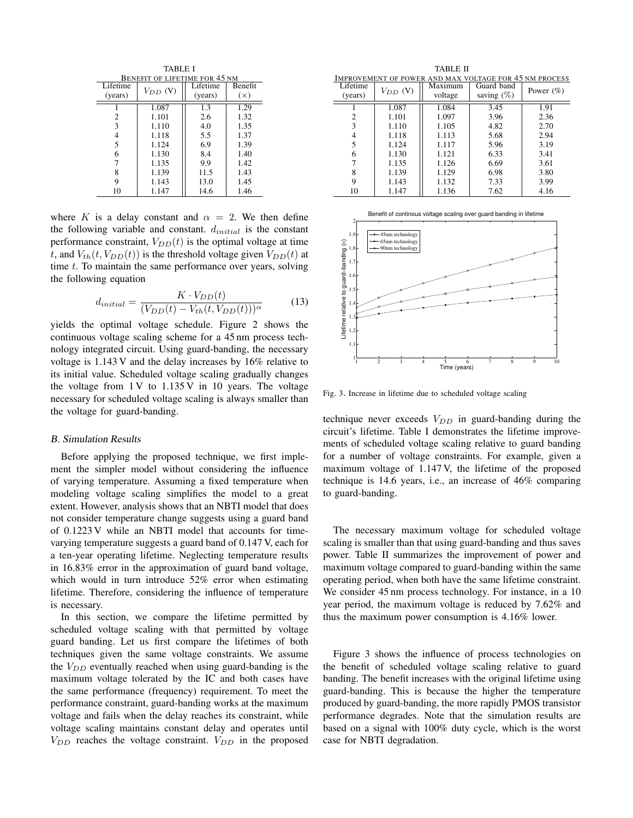TABLE I BENEFIT OF LIFETIME FOR 45 NM

|                           | Lifetime | $V_{DD}$ (V) | Lifetime | Benefit    |  |
|---------------------------|----------|--------------|----------|------------|--|
|                           | (years)  |              | (years)  | $(\times)$ |  |
|                           |          | 1.087        | 1.3      | 1.29       |  |
|                           | 2        | 1.101        | 2.6      | 1.32       |  |
|                           | 3        | 1.110        | 4.0      | 1.35       |  |
| 4<br>5                    |          | 1.118        | 5.5      | 1.37       |  |
|                           |          | 1.124        | 6.9      | 1.39       |  |
|                           | 6        | 1.130        | 8.4      | 1.40       |  |
|                           |          | 1.135        | 9.9      | 1.42       |  |
|                           | 8        | 1.139        | 11.5     | 1.43       |  |
| 9<br>1.143<br>10<br>1.147 |          | 13.0         | 1.45     |            |  |
|                           |          | 14.6         | 1.46     |            |  |

where K is a delay constant and  $\alpha = 2$ . We then define the following variable and constant.  $d_{initial}$  is the constant performance constraint,  $V_{DD}(t)$  is the optimal voltage at time t, and  $V_{th}(t, V_{DD}(t))$  is the threshold voltage given  $V_{DD}(t)$  at time  $t$ . To maintain the same performance over years, solving the following equation

$$
d_{initial} = \frac{K \cdot V_{DD}(t)}{(V_{DD}(t) - V_{th}(t, V_{DD}(t)))^{\alpha}}
$$
(13)

yields the optimal voltage schedule. Figure 2 shows the continuous voltage scaling scheme for a 45 nm process technology integrated circuit. Using guard-banding, the necessary voltage is 1.143 V and the delay increases by 16% relative to its initial value. Scheduled voltage scaling gradually changes the voltage from  $1 \text{ V}$  to  $1.135 \text{ V}$  in 10 years. The voltage necessary for scheduled voltage scaling is always smaller than the voltage for guard-banding.

## B. Simulation Results

Before applying the proposed technique, we first implement the simpler model without considering the influence of varying temperature. Assuming a fixed temperature when modeling voltage scaling simplifies the model to a great extent. However, analysis shows that an NBTI model that does not consider temperature change suggests using a guard band of 0.1223 V while an NBTI model that accounts for timevarying temperature suggests a guard band of 0.147 V, each for a ten-year operating lifetime. Neglecting temperature results in 16.83% error in the approximation of guard band voltage, which would in turn introduce 52% error when estimating lifetime. Therefore, considering the influence of temperature is necessary.

In this section, we compare the lifetime permitted by scheduled voltage scaling with that permitted by voltage guard banding. Let us first compare the lifetimes of both techniques given the same voltage constraints. We assume the  $V_{DD}$  eventually reached when using guard-banding is the maximum voltage tolerated by the IC and both cases have the same performance (frequency) requirement. To meet the performance constraint, guard-banding works at the maximum voltage and fails when the delay reaches its constraint, while voltage scaling maintains constant delay and operates until  $V_{DD}$  reaches the voltage constraint.  $V_{DD}$  in the proposed

TABLE II IMPROVEMENT OF POWER AND MAX VOLTAGE FOR 45 NM PROCESS

| Lifetime<br>(years) | $V_{DD}$ (V) | Maximum<br>voltage | Guard band<br>saving $(\%)$ | Power $(\% )$ |  |
|---------------------|--------------|--------------------|-----------------------------|---------------|--|
|                     | 1.087        | 1.084              | 3.45                        | 1.91          |  |
| 2                   | 1.101        | 1.097              | 3.96                        | 2.36          |  |
| 3                   | 1.110        | 1.105              | 4.82                        | 2.70          |  |
| 4                   | 1.118        | 1.113              | 5.68                        | 2.94          |  |
| 5                   | 1.124        | 1.117              | 5.96                        | 3.19          |  |
| 6                   | 1.130        | 1.121              | 6.33                        | 3.41          |  |
| 7                   | 1.135        | 1.126              | 6.69                        | 3.61          |  |
| 8                   | 1.139        | 1.129              | 6.98                        | 3.80          |  |
| 9                   | 1.143        | 1.132              | 7.33                        | 3.99          |  |
| 10                  | 1.147        | 1.136              | 7.62                        | 4.16          |  |



Fig. 3. Increase in lifetime due to scheduled voltage scaling

technique never exceeds  $V_{DD}$  in guard-banding during the circuit's lifetime. Table I demonstrates the lifetime improvements of scheduled voltage scaling relative to guard banding for a number of voltage constraints. For example, given a maximum voltage of 1.147 V, the lifetime of the proposed technique is 14.6 years, i.e., an increase of 46% comparing to guard-banding.

The necessary maximum voltage for scheduled voltage scaling is smaller than that using guard-banding and thus saves power. Table II summarizes the improvement of power and maximum voltage compared to guard-banding within the same operating period, when both have the same lifetime constraint. We consider 45 nm process technology. For instance, in a 10 year period, the maximum voltage is reduced by 7.62% and thus the maximum power consumption is 4.16% lower.

Figure 3 shows the influence of process technologies on the benefit of scheduled voltage scaling relative to guard banding. The benefit increases with the original lifetime using guard-banding. This is because the higher the temperature produced by guard-banding, the more rapidly PMOS transistor performance degrades. Note that the simulation results are based on a signal with 100% duty cycle, which is the worst case for NBTI degradation.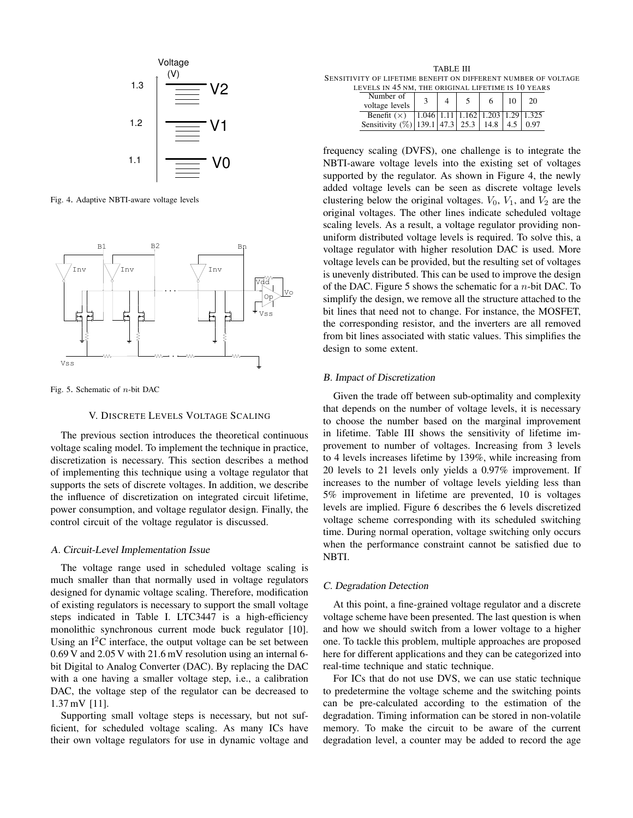

Fig. 4. Adaptive NBTI-aware voltage levels



Fig. 5. Schematic of n-bit DAC

## V. DISCRETE LEVELS VOLTAGE SCALING

The previous section introduces the theoretical continuous voltage scaling model. To implement the technique in practice, discretization is necessary. This section describes a method of implementing this technique using a voltage regulator that supports the sets of discrete voltages. In addition, we describe the influence of discretization on integrated circuit lifetime, power consumption, and voltage regulator design. Finally, the control circuit of the voltage regulator is discussed.

#### A. Circuit-Level Implementation Issue

The voltage range used in scheduled voltage scaling is much smaller than that normally used in voltage regulators designed for dynamic voltage scaling. Therefore, modification of existing regulators is necessary to support the small voltage steps indicated in Table I. LTC3447 is a high-efficiency monolithic synchronous current mode buck regulator [10]. Using an  $I<sup>2</sup>C$  interface, the output voltage can be set between 0.69 V and 2.05 V with 21.6 mV resolution using an internal 6 bit Digital to Analog Converter (DAC). By replacing the DAC with a one having a smaller voltage step, *i.e.*, a calibration DAC, the voltage step of the regulator can be decreased to 1.37 mV [11].

Supporting small voltage steps is necessary, but not sufficient, for scheduled voltage scaling. As many ICs have their own voltage regulators for use in dynamic voltage and

TABLE III SENSITIVITY OF LIFETIME BENEFIT ON DIFFERENT NUMBER OF VOLTAGE LEVELS IN 45 NM, THE ORIGINAL LIFETIME IS 10 YEARS

| Number of<br>voltage levels             |                                                                               |  | 6 |     |  |
|-----------------------------------------|-------------------------------------------------------------------------------|--|---|-----|--|
| Benefit $(x)$                           | $1.046$   $1.\overline{11}$   $1.162$   $1.203$   $1.\overline{29}$   $1.325$ |  |   |     |  |
| Sensitivity $(\%)$ 139.1 47.3 25.3 14.8 |                                                                               |  |   | 4.5 |  |

frequency scaling (DVFS), one challenge is to integrate the NBTI-aware voltage levels into the existing set of voltages supported by the regulator. As shown in Figure 4, the newly added voltage levels can be seen as discrete voltage levels clustering below the original voltages.  $V_0$ ,  $V_1$ , and  $V_2$  are the original voltages. The other lines indicate scheduled voltage scaling levels. As a result, a voltage regulator providing nonuniform distributed voltage levels is required. To solve this, a voltage regulator with higher resolution DAC is used. More voltage levels can be provided, but the resulting set of voltages is unevenly distributed. This can be used to improve the design of the DAC. Figure 5 shows the schematic for a  $n$ -bit DAC. To simplify the design, we remove all the structure attached to the bit lines that need not to change. For instance, the MOSFET, the corresponding resistor, and the inverters are all removed from bit lines associated with static values. This simplifies the design to some extent.

#### B. Impact of Discretization

Given the trade off between sub-optimality and complexity that depends on the number of voltage levels, it is necessary to choose the number based on the marginal improvement in lifetime. Table III shows the sensitivity of lifetime improvement to number of voltages. Increasing from 3 levels to 4 levels increases lifetime by 139%, while increasing from 20 levels to 21 levels only yields a 0.97% improvement. If increases to the number of voltage levels yielding less than 5% improvement in lifetime are prevented, 10 is voltages levels are implied. Figure 6 describes the 6 levels discretized voltage scheme corresponding with its scheduled switching time. During normal operation, voltage switching only occurs when the performance constraint cannot be satisfied due to NBTI.

# C. Degradation Detection

At this point, a fine-grained voltage regulator and a discrete voltage scheme have been presented. The last question is when and how we should switch from a lower voltage to a higher one. To tackle this problem, multiple approaches are proposed here for different applications and they can be categorized into real-time technique and static technique.

For ICs that do not use DVS, we can use static technique to predetermine the voltage scheme and the switching points can be pre-calculated according to the estimation of the degradation. Timing information can be stored in non-volatile memory. To make the circuit to be aware of the current degradation level, a counter may be added to record the age